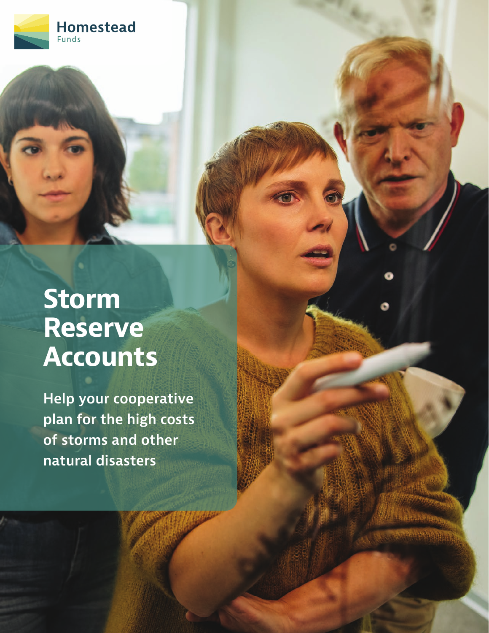

# **Storm Reserve Accounts**

**Help your cooperative plan for the high costs of storms and other natural disasters**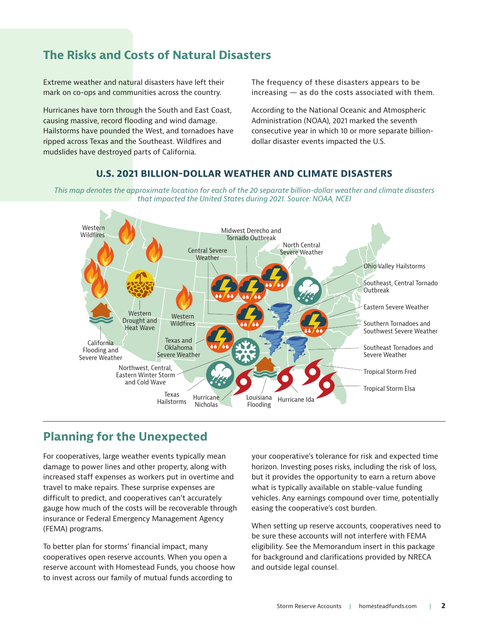## **The Risks and Costs of Natural Disasters**

Extreme weather and natural disasters have left their mark on co-ops and communities across the country.

Hurricanes have torn through the South and East Coast, causing massive, record flooding and wind damage. Hailstorms have pounded the West, and tornadoes have ripped across Texas and the Southeast. Wildfires and mudslides have destroyed parts of California.

The frequency of these disasters appears to be  $increasing - as$  do the costs associated with them.

According to the National Oceanic and Atmospheric Administration (NOAA), 2021 marked the seventh consecutive year in which 10 or more separate billiondollar disaster events impacted the U.S.

#### **U.S. 2021 BILLION-DOLLAR WEATHER AND CLIMATE DISASTERS**

*This map denotes the approximate location for each of the 20 separate billion-dollar weather and climate disasters that impacted the United States during 2021. Source: NOAA, NCEI*



#### **Planning for the Unexpected**

For cooperatives, large weather events typically mean damage to power lines and other property, along with increased staff expenses as workers put in overtime and travel to make repairs. These surprise expenses are difficult to predict, and cooperatives can't accurately gauge how much of the costs will be recoverable through insurance or Federal Emergency Management Agency (FEMA) programs.

To better plan for storms' financial impact, many cooperatives open reserve accounts. When you open a reserve account with Homestead Funds, you choose how to invest across our family of mutual funds according to

your cooperative's tolerance for risk and expected time horizon. Investing poses risks, including the risk of loss, but it provides the opportunity to earn a return above what is typically available on stable-value funding vehicles. Any earnings compound over time, potentially easing the cooperative's cost burden.

When setting up reserve accounts, cooperatives need to be sure these accounts will not interfere with FEMA eligibility. See the Memorandum insert in this package for background and clarifications provided by NRECA and outside legal counsel.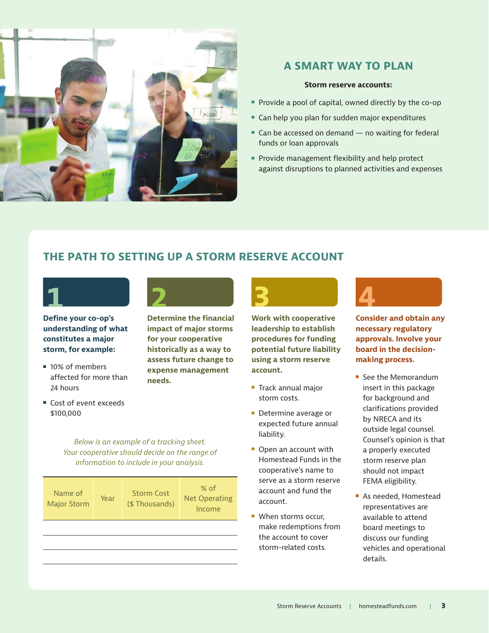

#### **A SMART WAY TO PLAN**

#### **Storm reserve accounts:**

- Provide a pool of capital, owned directly by the co-op
- 
- Can help you plan for sudden major expenditures<br>■ Can be accessed on demand no waiting for fed  $\blacksquare$  Can be accessed on demand  $-$  no waiting for federal funds or loan approvals
- aga<br>1 **2 Provide management flexibility and help protect** against disruptions to planned activities and expenses

# **2 THE PATH TO SETTING UP A STORM RESERVE ACCOUNT 1**



**2 storm, for example: Define your co-op's understanding of what constitutes a major** 

- 10% of members affected for more than 24 hours
- Los<br>**\$10** ■ Cost of event exceeds \$100,000



**3 historically as a way to Determine the financial impact of major storms for your cooperative assess future change to expense management needs.**

*Below is an example of a tracking sheet. Your cooperative should decide on the range of information to include in your analysis.*

| information to include in your analysis. |      |                                    |                                          |
|------------------------------------------|------|------------------------------------|------------------------------------------|
| Name of<br><b>Major Storm</b>            | Year | <b>Storm Cost</b><br>(\$Thousands) | $%$ of<br><b>Net Operating</b><br>Income |
|                                          |      |                                    |                                          |



**4 potential future liability Work with cooperative leadership to establish procedures for funding using a storm reserve account.**

- $\blacksquare$  Track annual major storm costs.
- **Determine average or** expected future annual liability.
- $\blacksquare$  Open an account with Homestead Funds in the cooperative's name to serve as a storm reserve account and fund the account.
- **No. 3** When storms occur, make redemptions from the account to cover storm-related costs.



**Consider and obtain any necessary regulatory approvals. Involve your board in the decisionmaking process.**

- **F** See the Memorandum insert in this package for background and clarifications provided by NRECA and its outside legal counsel. Counsel's opinion is that a properly executed storm reserve plan should not impact FEMA eligibility.
- **As needed, Homestead** representatives are available to attend board meetings to discuss our funding vehicles and operational details.